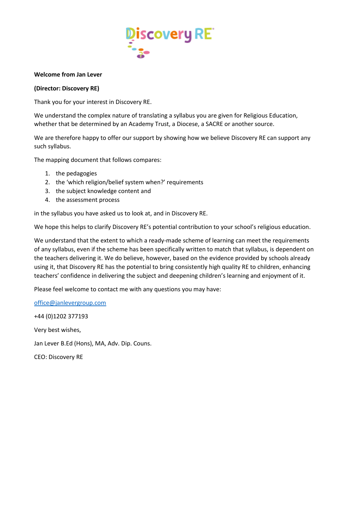

## **Welcome from Jan Lever**

# **(Director: Discovery RE)**

Thank you for your interest in Discovery RE.

We understand the complex nature of translating a syllabus you are given for Religious Education, whether that be determined by an Academy Trust, a Diocese, a SACRE or another source.

We are therefore happy to offer our support by showing how we believe Discovery RE can support any such syllabus.

The mapping document that follows compares:

- 1. the pedagogies
- 2. the 'which religion/belief system when?' requirements
- 3. the subject knowledge content and
- 4. the assessment process

in the syllabus you have asked us to look at, and in Discovery RE.

We hope this helps to clarify Discovery RE's potential contribution to your school's religious education.

We understand that the extent to which a ready-made scheme of learning can meet the requirements of any syllabus, even if the scheme has been specifically written to match that syllabus, is dependent on the teachers delivering it. We do believe, however, based on the evidence provided by schools already using it, that Discovery RE has the potential to bring consistently high quality RE to children, enhancing teachers' confidence in delivering the subject and deepening children's learning and enjoyment of it.

Please feel welcome to contact me with any questions you may have:

[office@janlevergroup.com](mailto:office@janlevergroup.com)

+44 (0)1202 377193 Very best wishes, Jan Lever B.Ed (Hons), MA, Adv. Dip. Couns.

CEO: Discovery RE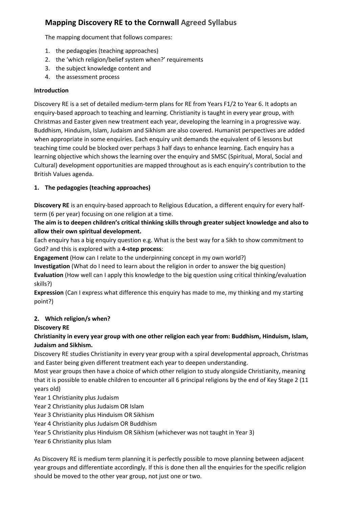# **Mapping Discovery RE to the Cornwall Agreed Syllabus**

The mapping document that follows compares:

- 1. the pedagogies (teaching approaches)
- 2. the 'which religion/belief system when?' requirements
- 3. the subject knowledge content and
- 4. the assessment process

# **Introduction**

Discovery RE is a set of detailed medium-term plans for RE from Years F1/2 to Year 6. It adopts an enquiry-based approach to teaching and learning. Christianity is taught in every year group, with Christmas and Easter given new treatment each year, developing the learning in a progressive way. Buddhism, Hinduism, Islam, Judaism and Sikhism are also covered. Humanist perspectives are added when appropriate in some enquiries. Each enquiry unit demands the equivalent of 6 lessons but teaching time could be blocked over perhaps 3 half days to enhance learning. Each enquiry has a learning objective which shows the learning over the enquiry and SMSC (Spiritual, Moral, Social and Cultural) development opportunities are mapped throughout as is each enquiry's contribution to the British Values agenda.

# **1. The pedagogies (teaching approaches)**

**Discovery RE** is an enquiry-based approach to Religious Education, a different enquiry for every halfterm (6 per year) focusing on one religion at a time.

**The aim is to deepen children's critical thinking skills through greater subject knowledge and also to allow their own spiritual development.**

Each enquiry has a big enquiry question e.g. What is the best way for a Sikh to show commitment to God? and this is explored with a **4-step process**:

**Engagement** (How can I relate to the underpinning concept in my own world?)

**Investigation** (What do I need to learn about the religion in order to answer the big question) **Evaluation** (How well can I apply this knowledge to the big question using critical thinking/evaluation skills?)

**Expression** (Can I express what difference this enquiry has made to me, my thinking and my starting point?)

# **2. Which religion/s when?**

# **Discovery RE**

**Christianity in every year group with one other religion each year from: Buddhism, Hinduism, Islam, Judaism and Sikhism.**

Discovery RE studies Christianity in every year group with a spiral developmental approach, Christmas and Easter being given different treatment each year to deepen understanding.

Most year groups then have a choice of which other religion to study alongside Christianity, meaning that it is possible to enable children to encounter all 6 principal religions by the end of Key Stage 2 (11 years old)

- Year 1 Christianity plus Judaism
- Year 2 Christianity plus Judaism OR Islam
- Year 3 Christianity plus Hinduism OR Sikhism
- Year 4 Christianity plus Judaism OR Buddhism
- Year 5 Christianity plus Hinduism OR Sikhism (whichever was not taught in Year 3)
- Year 6 Christianity plus Islam

As Discovery RE is medium term planning it is perfectly possible to move planning between adjacent year groups and differentiate accordingly. If this is done then all the enquiries for the specific religion should be moved to the other year group, not just one or two.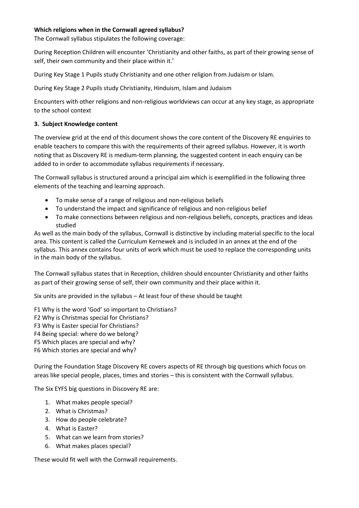# **Which religions when in the Cornwall agreed syllabus?**

The Cornwall syllabus stipulates the following coverage:

During Reception Children will encounter 'Christianity and other faiths, as part of their growing sense of self, their own community and their place within it.'

During Key Stage 1 Pupils study Christianity and one other religion from Judaism or Islam.

During Key Stage 2 Pupils study Christianity, Hinduism, Islam and Judaism

Encounters with other religions and non-religious worldviews can occur at any key stage, as appropriate to the school context

## **3. Subject Knowledge content**

The overview grid at the end of this document shows the core content of the Discovery RE enquiries to enable teachers to compare this with the requirements of their agreed syllabus. However, it is worth noting that as Discovery RE is medium-term planning, the suggested content in each enquiry can be added to in order to accommodate syllabus requirements if necessary.

The Cornwall syllabus is structured around a principal aim which is exemplified in the following three elements of the teaching and learning approach.

- To make sense of a range of religious and non-religious beliefs
- To understand the impact and significance of religious and non-religious belief
- To make connections between religious and non-religious beliefs, concepts, practices and ideas studied

As well as the main body of the syllabus, Cornwall is distinctive by including material specific to the local area. This content is called the Curriculum Kernewek and is included in an annex at the end of the syllabus. This annex contains four units of work which must be used to replace the corresponding units in the main body of the syllabus.

The Cornwall syllabus states that in Reception, children should encounter Christianity and other faiths as part of their growing sense of self, their own community and their place within it.

Six units are provided in the syllabus – At least four of these should be taught

F1 Why is the word 'God' so important to Christians?

F2 Why is Christmas special for Christians?

F3 Why is Easter special for Christians?

- F4 Being special: where do we belong?
- F5 Which places are special and why?
- F6 Which stories are special and why?

During the Foundation Stage Discovery RE covers aspects of RE through big questions which focus on areas like special people, places, times and stories – this is consistent with the Cornwall syllabus.

The Six EYFS big questions in Discovery RE are:

- 1. What makes people special?
- 2. What is Christmas?
- 3. How do people celebrate?
- 4. What is Easter?
- 5. What can we learn from stories?
- 6. What makes places special?

These would fit well with the Cornwall requirements.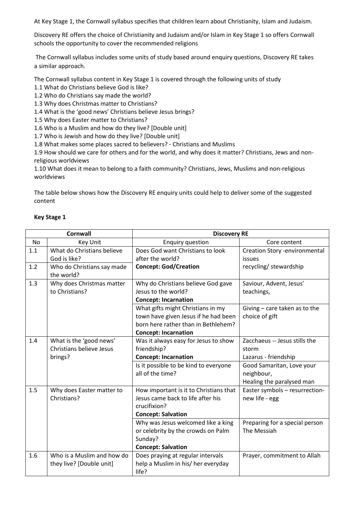At Key Stage 1, the Cornwall syllabus specifies that children learn about Christianity, Islam and Judaism.

Discovery RE offers the choice of Christianity and Judaism and/or Islam in Key Stage 1 so offers Cornwall schools the opportunity to cover the recommended religions

The Cornwall syllabus includes some units of study based around enquiry questions, Discovery RE takes a similar approach.

The Cornwall syllabus content in Key Stage 1 is covered through the following units of study

1.1 What do Christians believe God is like?

1.2 Who do Christians say made the world?

1.3 Why does Christmas matter to Christians?

1.4 What is the 'good news' Christians believe Jesus brings?

1.5 Why does Easter matter to Christians?

1.6 Who is a Muslim and how do they live? [Double unit]

1.7 Who is Jewish and how do they live? [Double unit]

1.8 What makes some places sacred to believers? - Christians and Muslims

1.9 How should we care for others and for the world, and why does it matter? Christians, Jews and nonreligious worldviews

1.10 What does it mean to belong to a faith community? Christians, Jews, Muslims and non-religious worldviews

The table below shows how the Discovery RE enquiry units could help to deliver some of the suggested content

| <b>Key Stage 1</b> |
|--------------------|
|--------------------|

| <b>Cornwall</b><br><b>Discovery RE</b> |                                          |                                                                         |                                      |
|----------------------------------------|------------------------------------------|-------------------------------------------------------------------------|--------------------------------------|
| No                                     | Key Unit                                 | <b>Enquiry question</b>                                                 | Core content                         |
| 1.1                                    | What do Christians believe               | Does God want Christians to look                                        | <b>Creation Story -environmental</b> |
|                                        | God is like?                             | after the world?                                                        | issues                               |
| 1.2                                    | Who do Christians say made<br>the world? | <b>Concept: God/Creation</b>                                            | recycling/stewardship                |
| 1.3                                    | Why does Christmas matter                | Why do Christians believe God gave                                      | Saviour, Advent, Jesus'              |
|                                        | to Christians?                           | Jesus to the world?                                                     | teachings,                           |
|                                        |                                          | <b>Concept: Incarnation</b>                                             |                                      |
|                                        |                                          | What gifts might Christians in my                                       | Giving $-$ care taken as to the      |
|                                        |                                          | town have given Jesus if he had been                                    | choice of gift                       |
|                                        |                                          | born here rather than in Bethlehem?                                     |                                      |
|                                        |                                          | <b>Concept: Incarnation</b>                                             |                                      |
| 1.4                                    | What is the 'good news'                  | Was it always easy for Jesus to show                                    | Zacchaeus -- Jesus stills the        |
|                                        | Christians believe Jesus                 | friendship?                                                             | storm                                |
|                                        | brings?                                  | <b>Concept: Incarnation</b>                                             | Lazarus - friendship                 |
|                                        |                                          | Is it possible to be kind to everyone                                   | Good Samaritan, Love your            |
|                                        |                                          | all of the time?                                                        | neighbour,                           |
|                                        |                                          |                                                                         | Healing the paralysed man            |
| 1.5                                    | Why does Easter matter to                | How important is it to Christians that                                  | Easter symbols - resurrection-       |
|                                        | Christians?                              | Jesus came back to life after his                                       | new life - egg                       |
|                                        |                                          | crucifixion?                                                            |                                      |
|                                        |                                          | <b>Concept: Salvation</b>                                               |                                      |
|                                        |                                          | Why was Jesus welcomed like a king                                      | Preparing for a special person       |
|                                        |                                          | or celebrity by the crowds on Palm                                      | The Messiah                          |
|                                        |                                          | Sunday?                                                                 |                                      |
|                                        |                                          | <b>Concept: Salvation</b>                                               |                                      |
| 1.6                                    | Who is a Muslim and how do               | Does praying at regular intervals<br>help a Muslim in his/ her everyday | Prayer, commitment to Allah          |
|                                        | they live? [Double unit]                 | life?                                                                   |                                      |
|                                        |                                          |                                                                         |                                      |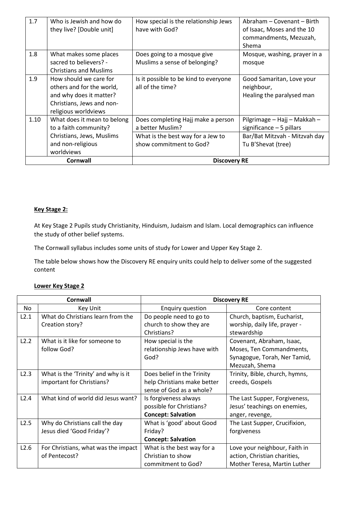| 1.7             | Who is Jewish and how do<br>they live? [Double unit]                                                                                | How special is the relationship Jews<br>have with God?       | Abraham - Covenant - Birth<br>of Isaac, Moses and the 10<br>commandments, Mezuzah,<br>Shema |
|-----------------|-------------------------------------------------------------------------------------------------------------------------------------|--------------------------------------------------------------|---------------------------------------------------------------------------------------------|
| 1.8             | What makes some places<br>sacred to believers? -<br><b>Christians and Muslims</b>                                                   | Does going to a mosque give<br>Muslims a sense of belonging? | Mosque, washing, prayer in a<br>mosque                                                      |
| 1.9             | How should we care for<br>others and for the world,<br>and why does it matter?<br>Christians, Jews and non-<br>religious worldviews | Is it possible to be kind to everyone<br>all of the time?    | Good Samaritan, Love your<br>neighbour,<br>Healing the paralysed man                        |
| 1.10            | What does it mean to belong<br>to a faith community?                                                                                | Does completing Hajj make a person<br>a better Muslim?       | Pilgrimage - Hajj - Makkah -<br>significance $-5$ pillars                                   |
|                 | Christians, Jews, Muslims<br>and non-religious<br>worldviews                                                                        | What is the best way for a Jew to<br>show commitment to God? | Bar/Bat Mitzvah - Mitzvah day<br>Tu B'Shevat (tree)                                         |
| <b>Cornwall</b> |                                                                                                                                     | <b>Discovery RE</b>                                          |                                                                                             |

## **Key Stage 2:**

At Key Stage 2 Pupils study Christianity, Hinduism, Judaism and Islam. Local demographics can influence the study of other belief systems.

The Cornwall syllabus includes some units of study for Lower and Upper Key Stage 2.

The table below shows how the Discovery RE enquiry units could help to deliver some of the suggested content

# **Lower Key Stage 2**

|      | Cornwall                            | <b>Discovery RE</b>         |                                |  |
|------|-------------------------------------|-----------------------------|--------------------------------|--|
| No.  | Key Unit                            | <b>Enquiry question</b>     | Core content                   |  |
| L2.1 | What do Christians learn from the   | Do people need to go to     | Church, baptism, Eucharist,    |  |
|      | Creation story?                     | church to show they are     | worship, daily life, prayer -  |  |
|      |                                     | Christians?                 | stewardship                    |  |
| L2.2 | What is it like for someone to      | How special is the          | Covenant, Abraham, Isaac,      |  |
|      | follow God?                         | relationship Jews have with | Moses, Ten Commandments,       |  |
|      |                                     | God?                        | Synagogue, Torah, Ner Tamid,   |  |
|      |                                     |                             | Mezuzah, Shema                 |  |
| L2.3 | What is the 'Trinity' and why is it | Does belief in the Trinity  | Trinity, Bible, church, hymns, |  |
|      | important for Christians?           | help Christians make better | creeds, Gospels                |  |
|      |                                     | sense of God as a whole?    |                                |  |
| L2.4 | What kind of world did Jesus want?  | Is forgiveness always       | The Last Supper, Forgiveness,  |  |
|      |                                     | possible for Christians?    | Jesus' teachings on enemies,   |  |
|      |                                     | <b>Concept: Salvation</b>   | anger, revenge,                |  |
| L2.5 | Why do Christians call the day      | What is 'good' about Good   | The Last Supper, Crucifixion,  |  |
|      | Jesus died 'Good Friday'?           | Friday?                     | forgiveness                    |  |
|      |                                     | <b>Concept: Salvation</b>   |                                |  |
| L2.6 | For Christians, what was the impact | What is the best way for a  | Love your neighbour, Faith in  |  |
|      | of Pentecost?                       | Christian to show           | action, Christian charities,   |  |
|      |                                     | commitment to God?          | Mother Teresa, Martin Luther   |  |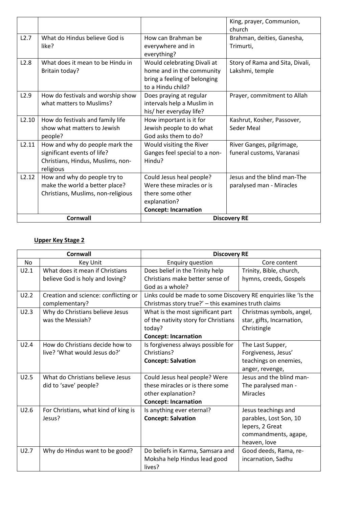|       |                                                                                                                 |                                                                                                                          | King, prayer, Communion,<br>church                      |  |
|-------|-----------------------------------------------------------------------------------------------------------------|--------------------------------------------------------------------------------------------------------------------------|---------------------------------------------------------|--|
| L2.7  | What do Hindus believe God is<br>like?                                                                          | How can Brahman be<br>everywhere and in<br>everything?                                                                   | Brahman, deities, Ganesha,<br>Trimurti,                 |  |
| L2.8  | What does it mean to be Hindu in<br>Britain today?                                                              | Would celebrating Divali at<br>home and in the community<br>bring a feeling of belonging<br>to a Hindu child?            | Story of Rama and Sita, Divali,<br>Lakshmi, temple      |  |
| L2.9  | How do festivals and worship show<br>what matters to Muslims?                                                   | Does praying at regular<br>intervals help a Muslim in<br>his/ her everyday life?                                         | Prayer, commitment to Allah                             |  |
| L2.10 | How do festivals and family life<br>show what matters to Jewish<br>people?                                      | How important is it for<br>Jewish people to do what<br>God asks them to do?                                              | Kashrut, Kosher, Passover,<br>Seder Meal                |  |
| L2.11 | How and why do people mark the<br>significant events of life?<br>Christians, Hindus, Muslims, non-<br>religious | Would visiting the River<br>Ganges feel special to a non-<br>Hindu?                                                      | River Ganges, pilgrimage,<br>funeral customs, Varanasi  |  |
| L2.12 | How and why do people try to<br>make the world a better place?<br>Christians, Muslims, non-religious            | Could Jesus heal people?<br>Were these miracles or is<br>there some other<br>explanation?<br><b>Concept: Incarnation</b> | Jesus and the blind man-The<br>paralysed man - Miracles |  |
|       | <b>Cornwall</b>                                                                                                 | <b>Discovery RE</b>                                                                                                      |                                                         |  |

# **Upper Key Stage 2**

|           | <b>Cornwall</b>                      | <b>Discovery RE</b>                                             |                           |  |
|-----------|--------------------------------------|-----------------------------------------------------------------|---------------------------|--|
| <b>No</b> | Key Unit                             | <b>Enquiry question</b>                                         | Core content              |  |
| U2.1      | What does it mean if Christians      | Does belief in the Trinity help                                 | Trinity, Bible, church,   |  |
|           | believe God is holy and loving?      | Christians make better sense of                                 | hymns, creeds, Gospels    |  |
|           |                                      | God as a whole?                                                 |                           |  |
| U2.2      | Creation and science: conflicting or | Links could be made to some Discovery RE enquiries like 'Is the |                           |  |
|           | complementary?                       | Christmas story true?' - this examines truth claims             |                           |  |
| U2.3      | Why do Christians believe Jesus      | What is the most significant part                               | Christmas symbols, angel, |  |
|           | was the Messiah?                     | of the nativity story for Christians                            | star, gifts, Incarnation, |  |
|           |                                      | today?                                                          | Christingle               |  |
|           |                                      | <b>Concept: Incarnation</b>                                     |                           |  |
| U2.4      | How do Christians decide how to      | Is forgiveness always possible for                              | The Last Supper,          |  |
|           | live? 'What would Jesus do?'         | Christians?                                                     | Forgiveness, Jesus'       |  |
|           |                                      | <b>Concept: Salvation</b>                                       | teachings on enemies,     |  |
|           |                                      |                                                                 | anger, revenge,           |  |
| U2.5      | What do Christians believe Jesus     | Could Jesus heal people? Were                                   | Jesus and the blind man-  |  |
|           | did to 'save' people?                | these miracles or is there some                                 | The paralysed man -       |  |
|           |                                      | other explanation?                                              | <b>Miracles</b>           |  |
|           |                                      | <b>Concept: Incarnation</b>                                     |                           |  |
| U2.6      | For Christians, what kind of king is | Is anything ever eternal?                                       | Jesus teachings and       |  |
|           | Jesus?                               | <b>Concept: Salvation</b>                                       | parables, Lost Son, 10    |  |
|           |                                      |                                                                 | lepers, 2 Great           |  |
|           |                                      |                                                                 | commandments, agape,      |  |
|           |                                      |                                                                 | heaven, love              |  |
| U2.7      | Why do Hindus want to be good?       | Do beliefs in Karma, Samsara and                                | Good deeds, Rama, re-     |  |
|           |                                      | Moksha help Hindus lead good                                    | incarnation, Sadhu        |  |
|           |                                      | lives?                                                          |                           |  |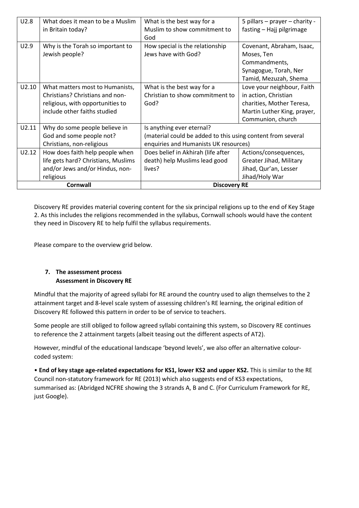| U2.8  | What does it mean to be a Muslim<br>in Britain today?                                                                                  | What is the best way for a<br>Muslim to show commitment to<br>God                                                                 | 5 pillars – prayer – charity -<br>fasting - Hajj pilgrimage                                                                         |
|-------|----------------------------------------------------------------------------------------------------------------------------------------|-----------------------------------------------------------------------------------------------------------------------------------|-------------------------------------------------------------------------------------------------------------------------------------|
| U2.9  | Why is the Torah so important to<br>Jewish people?                                                                                     | How special is the relationship<br>Jews have with God?                                                                            | Covenant, Abraham, Isaac,<br>Moses, Ten<br>Commandments,<br>Synagogue, Torah, Ner<br>Tamid, Mezuzah, Shema                          |
| U2.10 | What matters most to Humanists,<br>Christians? Christians and non-<br>religious, with opportunities to<br>include other faiths studied | What is the best way for a<br>Christian to show commitment to<br>God?                                                             | Love your neighbour, Faith<br>in action, Christian<br>charities, Mother Teresa,<br>Martin Luther King, prayer,<br>Communion, church |
| U2.11 | Why do some people believe in<br>God and some people not?<br>Christians, non-religious                                                 | Is anything ever eternal?<br>(material could be added to this using content from several<br>enquiries and Humanists UK resources) |                                                                                                                                     |
| U2.12 | How does faith help people when<br>life gets hard? Christians, Muslims<br>and/or Jews and/or Hindus, non-<br>religious                 | Does belief in Akhirah (life after<br>death) help Muslims lead good<br>lives?                                                     | Actions/consequences,<br>Greater Jihad, Military<br>Jihad, Qur'an, Lesser<br>Jihad/Holy War                                         |
|       | Cornwall                                                                                                                               | <b>Discovery RE</b>                                                                                                               |                                                                                                                                     |

Discovery RE provides material covering content for the six principal religions up to the end of Key Stage 2. As this includes the religions recommended in the syllabus, Cornwall schools would have the content they need in Discovery RE to help fulfil the syllabus requirements.

Please compare to the overview grid below.

# **7. The assessment process Assessment in Discovery RE**

Mindful that the majority of agreed syllabi for RE around the country used to align themselves to the 2 attainment target and 8-level scale system of assessing children's RE learning, the original edition of Discovery RE followed this pattern in order to be of service to teachers.

Some people are still obliged to follow agreed syllabi containing this system, so Discovery RE continues to reference the 2 attainment targets (albeit teasing out the different aspects of AT2).

However, mindful of the educational landscape 'beyond levels', we also offer an alternative colourcoded system:

• **End of key stage age-related expectations for KS1, lower KS2 and upper KS2.** This is similar to the RE Council non-statutory framework for RE (2013) which also suggests end of KS3 expectations, summarised as: (Abridged NCFRE showing the 3 strands A, B and C. (For Curriculum Framework for RE, just Google).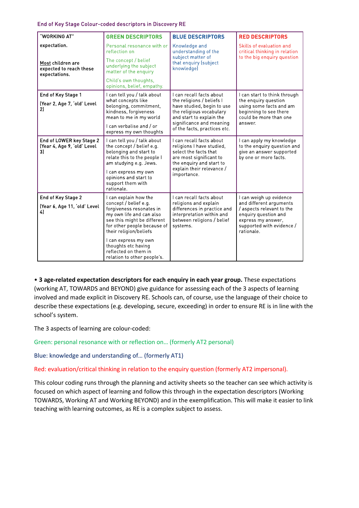#### End of Key Stage Colour-coded descriptors in Discovery RE

| "WORKING AT"                                                  | <b>GREEN DESCRIPTORS</b>                                                                                                                                                                                                                                                   | <b>BLUE DESCRIPTORS</b>                                                                                                                                                                 | <b>RED DESCRIPTORS</b>                                                                                                                        |  |
|---------------------------------------------------------------|----------------------------------------------------------------------------------------------------------------------------------------------------------------------------------------------------------------------------------------------------------------------------|-----------------------------------------------------------------------------------------------------------------------------------------------------------------------------------------|-----------------------------------------------------------------------------------------------------------------------------------------------|--|
| expectation.                                                  | Personal resonance with or<br>reflection on                                                                                                                                                                                                                                | Knowledge and<br>understanding of the                                                                                                                                                   | Skills of evaluation and<br>critical thinking in relation                                                                                     |  |
| Most children are<br>expected to reach these<br>expectations. | The concept / belief<br>underlying the subject<br>matter of the enquiry                                                                                                                                                                                                    | subject matter of<br>that enquiry (subject<br>knowledge)                                                                                                                                | to the big enquiry question                                                                                                                   |  |
|                                                               | Child's own thoughts.<br>opinions, belief, empathy.                                                                                                                                                                                                                        |                                                                                                                                                                                         |                                                                                                                                               |  |
| End of Key Stage 1                                            | I can tell you / talk about<br>what concepts like                                                                                                                                                                                                                          | Lcan recall facts about<br>the religions / beliefs I                                                                                                                                    | I can start to think through                                                                                                                  |  |
| (Year 2, Age 7, 'old' Level<br>2)                             | belonging, commitment,<br>kindness, forgiveness<br>mean to me in my world                                                                                                                                                                                                  | have studied, begin to use<br>the religious vocabulary<br>and start to explain the                                                                                                      | the enquiry question<br>using some facts and am<br>beginning to see there<br>could be more than one                                           |  |
|                                                               | I can verbalise and / or<br>express my own thoughts                                                                                                                                                                                                                        | significance and meaning<br>of the facts, practices etc.                                                                                                                                | answer.                                                                                                                                       |  |
| End of LOWER key Stage 2<br>(Year 4, Age 9, 'old' Level<br>3) | I can tell you / talk about<br>the concept / belief e.g.<br>belonging and start to<br>relate this to the people I<br>am studying e g Jews.<br>I can express my own<br>opinions and start to<br>support them with<br>rationale.                                             | I can recall facts about<br>religions I have studied,<br>select the facts that<br>are most significant to<br>the enquiry and start to<br>explain their relevance /<br><i>importance</i> | I can apply my knowledge<br>to the enquiry question and<br>give an answer supported<br>by one or more facts.                                  |  |
| End of Key Stage 2                                            | I can explain how the                                                                                                                                                                                                                                                      | I can recall facts about                                                                                                                                                                | I can weigh up evidence                                                                                                                       |  |
| (Year 6, Age 11, 'old' Level<br>4                             | concept / belief e q<br>forgiveness resonates in<br>my own life and can also<br>see this might be different<br>for other people because of<br>their religion/beliefs<br>I can express my own<br>thoughts etc having<br>reflected on them in<br>relation to other people's. | religions and explain<br>differences in practice and<br>interpretation within and<br>between religions / belief<br>systems.                                                             | and different arguments<br>/ aspects relevant to the<br>enquiry question and<br>express my answer.<br>supported with evidence /<br>rationale. |  |

• **3 age-related expectation descriptors for each enquiry in each year group.** These expectations (working AT, TOWARDS and BEYOND) give guidance for assessing each of the 3 aspects of learning involved and made explicit in Discovery RE. Schools can, of course, use the language of their choice to describe these expectations (e.g. developing, secure, exceeding) in order to ensure RE is in line with the school's system.

The 3 aspects of learning are colour-coded:

Green: personal resonance with or reflection on… (formerly AT2 personal)

Blue: knowledge and understanding of… (formerly AT1)

Red: evaluation/critical thinking in relation to the enquiry question (formerly AT2 impersonal).

This colour coding runs through the planning and activity sheets so the teacher can see which activity is focused on which aspect of learning and follow this through in the expectation descriptors (Working TOWARDS, Working AT and Working BEYOND) and in the exemplification. This will make it easier to link teaching with learning outcomes, as RE is a complex subject to assess.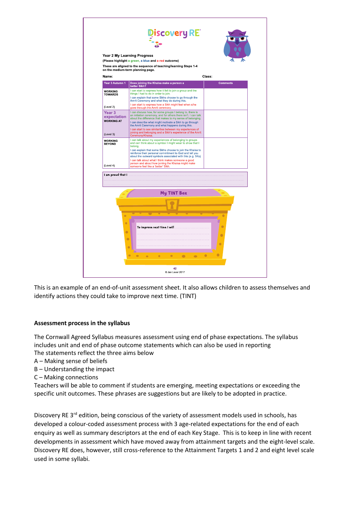

This is an example of an end-of-unit assessment sheet. It also allows children to assess themselves and identify actions they could take to improve next time. (TINT)

# **Assessment process in the syllabus**

The Cornwall Agreed Syllabus measures assessment using end of phase expectations. The syllabus includes unit and end of phase outcome statements which can also be used in reporting The statements reflect the three aims below

- A Making sense of beliefs
- B Understanding the impact
- C Making connections

Teachers will be able to comment if students are emerging, meeting expectations or exceeding the specific unit outcomes. These phrases are suggestions but are likely to be adopted in practice.

Discovery RE 3<sup>rd</sup> edition, being conscious of the variety of assessment models used in schools, has developed a colour-coded assessment process with 3 age-related expectations for the end of each enquiry as well as summary descriptors at the end of each Key Stage. This is to keep in line with recent developments in assessment which have moved away from attainment targets and the eight-level scale. Discovery RE does, however, still cross-reference to the Attainment Targets 1 and 2 and eight level scale used in some syllabi.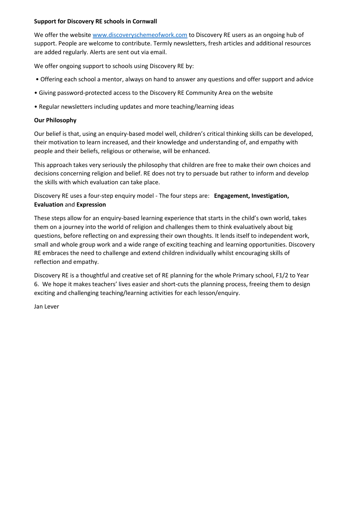# **Support for Discovery RE schools in Cornwall**

We offer the website [www.discoveryschemeofwork.com](http://www.discoveryschemeofwork.com/) to Discovery RE users as an ongoing hub of support. People are welcome to contribute. Termly newsletters, fresh articles and additional resources are added regularly. Alerts are sent out via email.

We offer ongoing support to schools using Discovery RE by:

- Offering each school a mentor, always on hand to answer any questions and offer support and advice
- Giving password-protected access to the Discovery RE Community Area on the website
- Regular newsletters including updates and more teaching/learning ideas

# **Our Philosophy**

Our belief is that, using an enquiry-based model well, children's critical thinking skills can be developed, their motivation to learn increased, and their knowledge and understanding of, and empathy with people and their beliefs, religious or otherwise, will be enhanced.

This approach takes very seriously the philosophy that children are free to make their own choices and decisions concerning religion and belief. RE does not try to persuade but rather to inform and develop the skills with which evaluation can take place.

Discovery RE uses a four-step enquiry model - The four steps are: **Engagement, Investigation, Evaluation** and **Expression** 

These steps allow for an enquiry-based learning experience that starts in the child's own world, takes them on a journey into the world of religion and challenges them to think evaluatively about big questions, before reflecting on and expressing their own thoughts. It lends itself to independent work, small and whole group work and a wide range of exciting teaching and learning opportunities. Discovery RE embraces the need to challenge and extend children individually whilst encouraging skills of reflection and empathy.

Discovery RE is a thoughtful and creative set of RE planning for the whole Primary school, F1/2 to Year 6. We hope it makes teachers' lives easier and short-cuts the planning process, freeing them to design exciting and challenging teaching/learning activities for each lesson/enquiry.

Jan Lever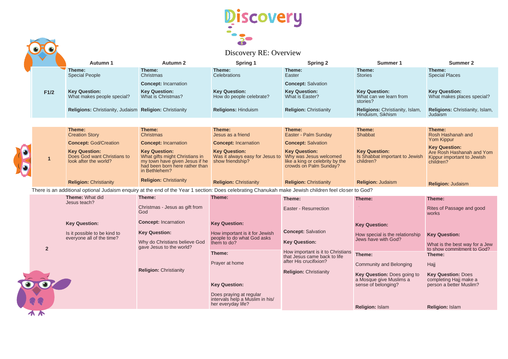

|                |                                                                                                                                                      |                                                                                                                                             | 65                                                                               |                                                                                                             |                                                                     |                                                                      |
|----------------|------------------------------------------------------------------------------------------------------------------------------------------------------|---------------------------------------------------------------------------------------------------------------------------------------------|----------------------------------------------------------------------------------|-------------------------------------------------------------------------------------------------------------|---------------------------------------------------------------------|----------------------------------------------------------------------|
|                |                                                                                                                                                      |                                                                                                                                             | Discovery RE: Overview                                                           |                                                                                                             |                                                                     |                                                                      |
|                | Autumn 1                                                                                                                                             | Autumn 2                                                                                                                                    | Spring 1                                                                         | <b>Spring 2</b>                                                                                             | Summer 1                                                            | Summer 2                                                             |
|                | Theme:<br><b>Special People</b>                                                                                                                      | Theme:<br>Christmas                                                                                                                         | Theme:<br>Celebrations                                                           | Theme:<br>Easter                                                                                            | Theme:<br><b>Stories</b>                                            | Theme:<br><b>Special Places</b>                                      |
|                |                                                                                                                                                      | <b>Concept: Incarnation</b>                                                                                                                 |                                                                                  | <b>Concept: Salvation</b>                                                                                   |                                                                     |                                                                      |
| F1/2           | <b>Key Question:</b><br>What makes people special?                                                                                                   | <b>Key Question:</b><br>What is Christmas?                                                                                                  | <b>Key Question:</b><br>How do people celebrate?                                 | <b>Key Question:</b><br>What is Easter?                                                                     | <b>Key Question:</b><br>What can we learn from<br>stories?          | <b>Key Question:</b><br>What makes places special?                   |
|                | Religions: Christianity, Judaism Religion: Christianity                                                                                              |                                                                                                                                             | <b>Religions: Hinduism</b>                                                       | <b>Religion: Christianity</b>                                                                               | <b>Religions: Christianity, Islam,</b><br>Hinduism, Sikhism         | Religions: Christianity, Islam,<br>Judaism                           |
|                |                                                                                                                                                      |                                                                                                                                             |                                                                                  |                                                                                                             |                                                                     |                                                                      |
|                | Theme:                                                                                                                                               | Theme:                                                                                                                                      | Theme:                                                                           | Theme:                                                                                                      | Theme:                                                              | Theme:                                                               |
|                | <b>Creation Story</b>                                                                                                                                | Christmas                                                                                                                                   | Jesus as a friend                                                                | Easter - Palm Sunday                                                                                        | Shabbat                                                             | Rosh Hashanah and<br>Yom Kippur                                      |
|                | <b>Concept: God/Creation</b>                                                                                                                         | <b>Concept: Incarnation</b>                                                                                                                 | <b>Concept: Incarnation</b>                                                      | <b>Concept: Salvation</b>                                                                                   |                                                                     | <b>Key Question:</b>                                                 |
| 1              | <b>Key Question:</b><br>Does God want Christians to<br>look after the world?                                                                         | <b>Key Question:</b><br>What gifts might Christians in<br>my town have given Jesus if he<br>had been born here rather than<br>in Bethlehem? | <b>Key Question:</b><br>Was it always easy for Jesus to<br>show friendship?      | <b>Key Question:</b><br>Why was Jesus welcomed<br>like a king or celebrity by the<br>crowds on Palm Sunday? | <b>Key Question:</b><br>Is Shabbat important to Jewish<br>children? | Are Rosh Hashanah and Yom<br>Kippur important to Jewish<br>children? |
|                | <b>Religion: Christianity</b>                                                                                                                        | <b>Religion: Christianity</b>                                                                                                               | <b>Religion: Christianity</b>                                                    | <b>Religion: Christianity</b>                                                                               | <b>Religion: Judaism</b>                                            | <b>Religion: Judaism</b>                                             |
|                | There is an additional optional Judaism enquiry at the end of the Year 1 section: Does celebrating Chanukah make Jewish children feel closer to God? |                                                                                                                                             |                                                                                  |                                                                                                             |                                                                     |                                                                      |
|                | <b>Theme: What did</b>                                                                                                                               | Theme:                                                                                                                                      | Theme:                                                                           | Theme:                                                                                                      | Theme:                                                              | Theme:                                                               |
|                | Jesus teach?                                                                                                                                         | Christmas - Jesus as gift from<br>God                                                                                                       |                                                                                  | Easter - Resurrection                                                                                       |                                                                     | Rites of Passage and good<br>works                                   |
|                | <b>Key Question:</b>                                                                                                                                 | <b>Concept: Incarnation</b>                                                                                                                 | <b>Key Question:</b>                                                             |                                                                                                             | <b>Key Question:</b>                                                |                                                                      |
|                | Is it possible to be kind to<br>everyone all of the time?                                                                                            | <b>Key Question:</b>                                                                                                                        | How important is it for Jewish<br>people to do what God asks                     | <b>Concept: Salvation</b>                                                                                   | How special is the relationship<br>Jews have with God?              | <b>Key Question:</b>                                                 |
| $\overline{2}$ |                                                                                                                                                      | Why do Christians believe God<br>gave Jesus to the world?                                                                                   | them to do?                                                                      | <b>Key Question:</b>                                                                                        |                                                                     | What is the best way for a Jew<br>to show commitment to God?         |
|                |                                                                                                                                                      |                                                                                                                                             | Theme:                                                                           | How important is it to Christians<br>that Jesus came back to life                                           | Theme:                                                              | Theme:                                                               |
|                |                                                                                                                                                      |                                                                                                                                             | Prayer at home                                                                   | after His crucifixion?                                                                                      | Community and Belonging                                             | Hajj                                                                 |
|                |                                                                                                                                                      | <b>Religion: Christianity</b>                                                                                                               |                                                                                  | <b>Religion: Christianity</b>                                                                               | Key Question: Does going to<br>a Mosque give Muslims a              | <b>Key Question: Does</b><br>completing Hajj make a                  |
|                |                                                                                                                                                      |                                                                                                                                             | <b>Key Question:</b>                                                             |                                                                                                             | sense of belonging?                                                 | person a better Muslim?                                              |
|                |                                                                                                                                                      |                                                                                                                                             | Does praying at regular<br>intervals help a Muslim in his/<br>her everyday life? |                                                                                                             |                                                                     |                                                                      |
|                |                                                                                                                                                      |                                                                                                                                             |                                                                                  |                                                                                                             | <b>Religion: Islam</b>                                              | <b>Religion: Islam</b>                                               |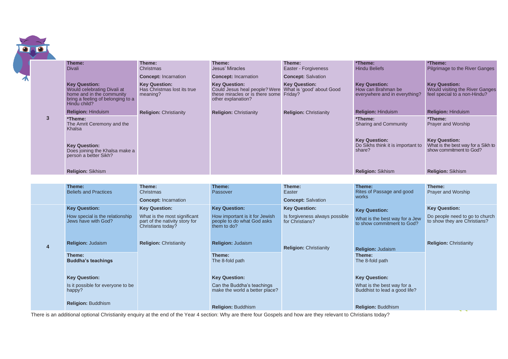| <b>Divali</b><br><b>Key Question:</b>                                                                         | Christmas                                                                           |                                                                                                                                          | Easter - Forgiveness                              | <b>Hindu Beliefs</b>                                                        | Pilgrimage to the River Ganges                                                          |
|---------------------------------------------------------------------------------------------------------------|-------------------------------------------------------------------------------------|------------------------------------------------------------------------------------------------------------------------------------------|---------------------------------------------------|-----------------------------------------------------------------------------|-----------------------------------------------------------------------------------------|
|                                                                                                               | <b>Concept: Incarnation</b>                                                         | Jesus' Miracles<br><b>Concept: Incarnation</b>                                                                                           | <b>Concept: Salvation</b>                         |                                                                             |                                                                                         |
| Would celebrating Divali at<br>home and in the community<br>bring a feeling of belonging to a<br>Hindu child? | <b>Key Question:</b><br>Has Christmas lost its true<br>meaning?                     | <b>Key Question:</b><br>Could Jesus heal people? Were What is 'good' about Good<br>these miracles or is there some<br>other explanation? | <b>Key Question:</b><br>Friday?                   | <b>Key Question:</b><br>How can Brahman be<br>everywhere and in everything? | <b>Key Question:</b><br>Would visiting the River Ganges<br>feel special to a non-Hindu? |
| <b>Religion: Hinduism</b>                                                                                     | <b>Religion: Christianity</b>                                                       | <b>Religion: Christianity</b>                                                                                                            | <b>Religion: Christianity</b>                     | <b>Religion: Hinduism</b>                                                   | <b>Religion: Hinduism</b>                                                               |
| *Theme:<br>The Amrit Ceremony and the<br>Khalsa                                                               |                                                                                     |                                                                                                                                          |                                                   | *Theme:<br>Sharing and Community                                            | *Theme:<br>Prayer and Worship                                                           |
| <b>Key Question:</b><br>Does joining the Khalsa make a<br>person a better Sikh?                               |                                                                                     |                                                                                                                                          |                                                   | <b>Key Question:</b><br>Do Sikhs think it is important to<br>share?         | <b>Key Question:</b><br>What is the best way for a Sikh to<br>show commitment to God?   |
| Religion: Sikhism                                                                                             |                                                                                     |                                                                                                                                          |                                                   | Religion: Sikhism                                                           | Religion: Sikhism                                                                       |
|                                                                                                               |                                                                                     |                                                                                                                                          |                                                   |                                                                             |                                                                                         |
| Theme:                                                                                                        | Theme:                                                                              | Theme:                                                                                                                                   | Theme:                                            | Theme:                                                                      | Theme:<br>Prayer and Worship                                                            |
|                                                                                                               |                                                                                     |                                                                                                                                          |                                                   | works                                                                       |                                                                                         |
| <b>Key Question:</b>                                                                                          | <b>Key Question:</b>                                                                | <b>Key Question:</b>                                                                                                                     | <b>Key Question:</b>                              |                                                                             | <b>Key Question:</b>                                                                    |
| How special is the relationship<br>Jews have with God?                                                        | What is the most significant<br>part of the nativity story for<br>Christians today? | How important is it for Jewish<br>people to do what God asks<br>them to do?                                                              | Is forgiveness always possible<br>for Christians? | What is the best way for a Jew<br>to show commitment to God?                | Do people need to go to church<br>to show they are Christians?                          |
| <b>Religion: Judaism</b>                                                                                      | <b>Religion: Christianity</b>                                                       | <b>Religion: Judaism</b>                                                                                                                 | <b>Religion: Christianity</b>                     | Religion: Judaism                                                           | <b>Religion: Christianity</b>                                                           |
| Theme:<br><b>Buddha's teachings</b>                                                                           |                                                                                     | Theme:<br>The 8-fold path                                                                                                                |                                                   | Theme:<br>The 8-fold path                                                   |                                                                                         |
|                                                                                                               |                                                                                     |                                                                                                                                          |                                                   |                                                                             |                                                                                         |
| Is it possible for everyone to be<br>happy?                                                                   |                                                                                     | Can the Buddha's teachings<br>make the world a better place?                                                                             |                                                   | What is the best way for a<br>Buddhist to lead a good life?                 |                                                                                         |
|                                                                                                               | <b>Beliefs and Practices</b><br><b>Key Question:</b><br><b>Religion: Buddhism</b>   | Christmas<br><b>Concept: Incarnation</b>                                                                                                 | Passover<br><b>Key Question:</b>                  | Easter<br><b>Concept: Salvation</b>                                         | Rites of Passage and good<br><b>Key Question:</b><br><b>Key Question:</b>               |

There is an additional optional Christianity enquiry at the end of the Year 4 section: Why are there four Gospels and how are they relevant to Christians today?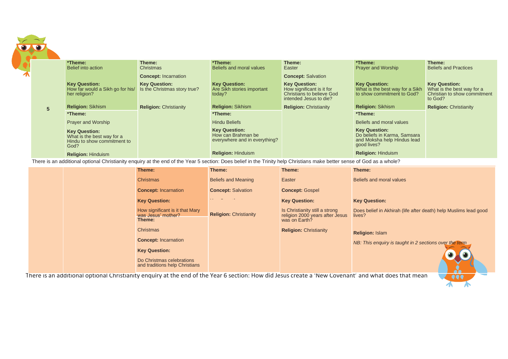|   | *Theme:                                                                                   | Theme:                                               | *Theme:                                                                     | Theme:                                                                                                          | *Theme:                                                                                            | Theme:                                                                                        |
|---|-------------------------------------------------------------------------------------------|------------------------------------------------------|-----------------------------------------------------------------------------|-----------------------------------------------------------------------------------------------------------------|----------------------------------------------------------------------------------------------------|-----------------------------------------------------------------------------------------------|
|   | Belief into action                                                                        | Christmas<br><b>Concept: Incarnation</b>             | Beliefs and moral values                                                    | Easter<br><b>Concept: Salvation</b>                                                                             | <b>Prayer and Worship</b>                                                                          | <b>Beliefs and Practices</b>                                                                  |
|   | <b>Key Question:</b><br>How far would a Sikh go for his/<br>her religion?                 | <b>Key Question:</b><br>Is the Christmas story true? | <b>Key Question:</b><br>Are Sikh stories important<br>today?                | <b>Key Question:</b><br>How significant is it for<br><b>Christians to believe God</b><br>intended Jesus to die? | <b>Key Question:</b><br>What is the best way for a Sikh<br>to show commitment to God?              | <b>Key Question:</b><br>What is the best way for a<br>Christian to show commitment<br>to God? |
| 5 | <b>Religion: Sikhism</b>                                                                  | <b>Religion: Christianity</b>                        | <b>Religion: Sikhism</b>                                                    | <b>Religion: Christianity</b>                                                                                   | <b>Religion: Sikhism</b>                                                                           | <b>Religion: Christianity</b>                                                                 |
|   | *Theme:                                                                                   |                                                      | *Theme:                                                                     |                                                                                                                 | *Theme:                                                                                            |                                                                                               |
|   | <b>Prayer and Worship</b>                                                                 |                                                      | <b>Hindu Beliefs</b>                                                        |                                                                                                                 | Beliefs and moral values                                                                           |                                                                                               |
|   | <b>Key Question:</b><br>What is the best way for a<br>Hindu to show commitment to<br>God? |                                                      | <b>Key Question:</b><br>How can Brahman be<br>everywhere and in everything? |                                                                                                                 | <b>Key Question:</b><br>Do beliefs in Karma, Samsara<br>and Moksha help Hindus lead<br>good lives? |                                                                                               |
|   | <b>Religion: Hinduism</b>                                                                 |                                                      | <b>Religion: Hinduism</b>                                                   |                                                                                                                 | <b>Religion: Hinduism</b>                                                                          |                                                                                               |

There is an additional optional Christianity enquiry at the end of the Year 5 section: Does belief in the Trinity help Christians make better sense of God as a whole?

|  | Theme:                                                          | Theme:                        | Theme:                                                                             | Theme:                                                                     |
|--|-----------------------------------------------------------------|-------------------------------|------------------------------------------------------------------------------------|----------------------------------------------------------------------------|
|  | <b>Christmas</b>                                                | <b>Beliefs and Meaning</b>    | Easter                                                                             | Beliefs and moral values                                                   |
|  | <b>Concept: Incarnation</b>                                     | <b>Concept: Salvation</b>     | <b>Concept: Gospel</b>                                                             |                                                                            |
|  | <b>Key Question:</b>                                            |                               | <b>Key Question:</b>                                                               | <b>Key Question:</b>                                                       |
|  | How significant is it that Mary<br>was Jesus' mother?<br>Theme: | <b>Religion: Christianity</b> | Is Christianity still a strong<br>religion 2000 years after Jesus<br>was on Earth? | Does belief in Akhirah (life after death) help Muslims lead good<br>lives? |
|  | <b>Christmas</b>                                                |                               | <b>Religion: Christianity</b>                                                      | <b>Religion: Islam</b>                                                     |
|  | <b>Concept: Incarnation</b>                                     |                               |                                                                                    | NB: This enguiry is taught in 2 sections over the term                     |
|  | <b>Key Question:</b>                                            |                               |                                                                                    |                                                                            |
|  | Do Christmas celebrations<br>and traditions help Christians     |                               |                                                                                    |                                                                            |

There is an additional optional Christianity enquiry at the end of the Year 6 section: How did Jesus create a 'New Covenant' and what does that mean<br>

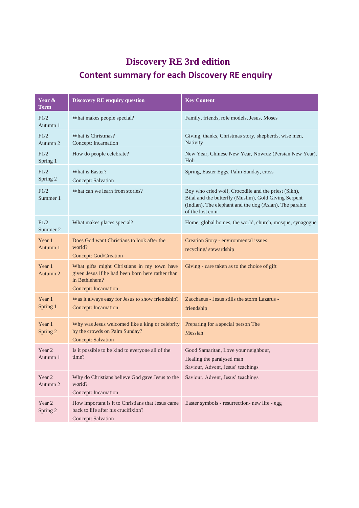# **Discovery RE 3rd edition Content summary for each Discovery RE enquiry**

| Year &<br><b>Term</b> | <b>Discovery RE enquiry question</b>                                                                                                     | <b>Key Content</b>                                                                                                                                                                           |
|-----------------------|------------------------------------------------------------------------------------------------------------------------------------------|----------------------------------------------------------------------------------------------------------------------------------------------------------------------------------------------|
| F1/2<br>Autumn 1      | What makes people special?                                                                                                               | Family, friends, role models, Jesus, Moses                                                                                                                                                   |
| F1/2<br>Autumn 2      | What is Christmas?<br>Concept: Incarnation                                                                                               | Giving, thanks, Christmas story, shepherds, wise men,<br>Nativity                                                                                                                            |
| F1/2<br>Spring 1      | How do people celebrate?                                                                                                                 | New Year, Chinese New Year, Nowruz (Persian New Year),<br>Holi                                                                                                                               |
| F1/2<br>Spring 2      | What is Easter?<br>Concept: Salvation                                                                                                    | Spring, Easter Eggs, Palm Sunday, cross                                                                                                                                                      |
| F1/2<br>Summer 1      | What can we learn from stories?                                                                                                          | Boy who cried wolf, Crocodile and the priest (Sikh),<br>Bilal and the butterfly (Muslim), Gold Giving Serpent<br>(Indian), The elephant and the dog (Asian), The parable<br>of the lost coin |
| F1/2<br>Summer 2      | What makes places special?                                                                                                               | Home, global homes, the world, church, mosque, synagogue                                                                                                                                     |
| Year 1<br>Autumn 1    | Does God want Christians to look after the<br>world?<br>Concept: God/Creation                                                            | Creation Story - environmental issues<br>recycling/stewardship                                                                                                                               |
| Year 1<br>Autumn 2    | What gifts might Christians in my town have<br>given Jesus if he had been born here rather than<br>in Bethlehem?<br>Concept: Incarnation | Giving - care taken as to the choice of gift                                                                                                                                                 |
| Year 1<br>Spring 1    | Was it always easy for Jesus to show friendship?<br>Concept: Incarnation                                                                 | Zacchaeus - Jesus stills the storm Lazarus -<br>friendship                                                                                                                                   |
| Year 1<br>Spring 2    | Why was Jesus welcomed like a king or celebrity<br>by the crowds on Palm Sunday?<br><b>Concept: Salvation</b>                            | Preparing for a special person The<br>Messiah                                                                                                                                                |
| Year 2<br>Autumn 1    | Is it possible to be kind to everyone all of the<br>time?                                                                                | Good Samaritan, Love your neighbour,<br>Healing the paralysed man<br>Saviour, Advent, Jesus' teachings                                                                                       |
| Year 2<br>Autumn 2    | Why do Christians believe God gave Jesus to the<br>world?<br>Concept: Incarnation                                                        | Saviour, Advent, Jesus' teachings                                                                                                                                                            |
| Year 2<br>Spring 2    | How important is it to Christians that Jesus came<br>back to life after his crucifixion?<br>Concept: Salvation                           | Easter symbols - resurrection- new life - egg                                                                                                                                                |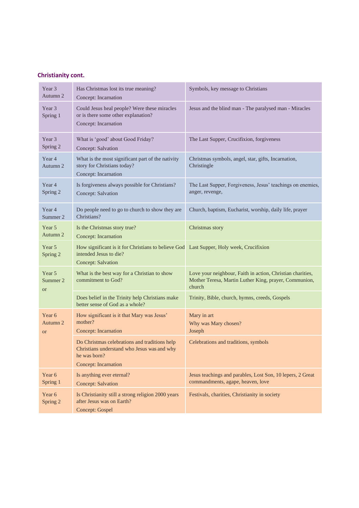# **Christianity cont.**

| Year 3<br>Autumn 2              | Has Christmas lost its true meaning?<br>Concept: Incarnation                                                                            | Symbols, key message to Christians                                                                                            |
|---------------------------------|-----------------------------------------------------------------------------------------------------------------------------------------|-------------------------------------------------------------------------------------------------------------------------------|
| Year 3<br>Spring 1              | Could Jesus heal people? Were these miracles<br>or is there some other explanation?<br>Concept: Incarnation                             | Jesus and the blind man - The paralysed man - Miracles                                                                        |
| Year 3<br>Spring 2              | What is 'good' about Good Friday?<br>Concept: Salvation                                                                                 | The Last Supper, Crucifixion, forgiveness                                                                                     |
| Year 4<br>Autumn 2              | What is the most significant part of the nativity<br>story for Christians today?<br>Concept: Incarnation                                | Christmas symbols, angel, star, gifts, Incarnation,<br>Christingle                                                            |
| Year 4<br>Spring 2              | Is forgiveness always possible for Christians?<br>Concept: Salvation                                                                    | The Last Supper, Forgiveness, Jesus' teachings on enemies,<br>anger, revenge,                                                 |
| Year 4<br>Summer 2              | Do people need to go to church to show they are<br>Christians?                                                                          | Church, baptism, Eucharist, worship, daily life, prayer                                                                       |
| Year 5<br>Autumn 2              | Is the Christmas story true?<br>Concept: Incarnation                                                                                    | Christmas story                                                                                                               |
| Year 5<br>Spring 2              | How significant is it for Christians to believe God Last Supper, Holy week, Crucifixion<br>intended Jesus to die?<br>Concept: Salvation |                                                                                                                               |
| Year 5<br>Summer 2<br><b>or</b> | What is the best way for a Christian to show<br>commitment to God?                                                                      | Love your neighbour, Faith in action, Christian charities,<br>Mother Teresa, Martin Luther King, prayer, Communion,<br>church |
|                                 | Does belief in the Trinity help Christians make<br>better sense of God as a whole?                                                      | Trinity, Bible, church, hymns, creeds, Gospels                                                                                |
| Year 6<br>Autumn 2<br><b>or</b> | How significant is it that Mary was Jesus'<br>mother?<br>Concept: Incarnation                                                           | Mary in art<br>Why was Mary chosen?<br>Joseph                                                                                 |
|                                 | Do Christmas celebrations and traditions help<br>Christians understand who Jesus was and why<br>he was born?<br>Concept: Incarnation    | Celebrations and traditions, symbols                                                                                          |
| Year 6<br>Spring 1              | Is anything ever eternal?<br><b>Concept: Salvation</b>                                                                                  | Jesus teachings and parables, Lost Son, 10 lepers, 2 Great<br>commandments, agape, heaven, love                               |
| Year 6<br>Spring 2              | Is Christianity still a strong religion 2000 years<br>after Jesus was on Earth?<br><b>Concept: Gospel</b>                               | Festivals, charities, Christianity in society                                                                                 |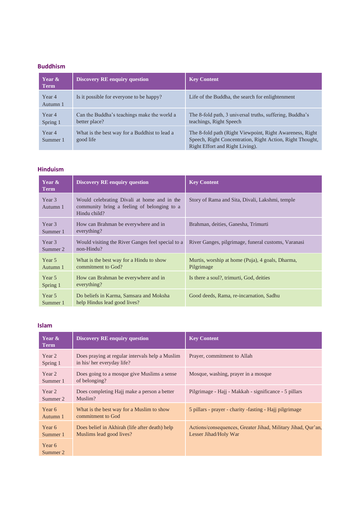### **Buddhism**

| Year &<br><b>Term</b> | <b>Discovery RE enquiry question</b>                         | <b>Key Content</b>                                                                                                                                        |
|-----------------------|--------------------------------------------------------------|-----------------------------------------------------------------------------------------------------------------------------------------------------------|
| Year 4<br>Autumn 1    | Is it possible for everyone to be happy?                     | Life of the Buddha, the search for enlightenment                                                                                                          |
| Year 4<br>Spring 1    | Can the Buddha's teachings make the world a<br>better place? | The 8-fold path, 3 universal truths, suffering, Buddha's<br>teachings, Right Speech                                                                       |
| Year 4<br>Summer 1    | What is the best way for a Buddhist to lead a<br>good life   | The 8-fold path (Right Viewpoint, Right Awareness, Right)<br>Speech, Right Concentration, Right Action, Right Thought,<br>Right Effort and Right Living). |

# **Hinduism**

| Year &<br><b>Term</b> | <b>Discovery RE enquiry question</b>                                                                       | <b>Key Content</b>                                             |
|-----------------------|------------------------------------------------------------------------------------------------------------|----------------------------------------------------------------|
| Year 3<br>Autumn 1    | Would celebrating Divali at home and in the<br>community bring a feeling of belonging to a<br>Hindu child? | Story of Rama and Sita, Divali, Lakshmi, temple                |
| Year 3<br>Summer 1    | How can Brahman be everywhere and in<br>everything?                                                        | Brahman, deities, Ganesha, Trimurti                            |
| Year 3<br>Summer 2    | Would visiting the River Ganges feel special to a<br>non-Hindu?                                            | River Ganges, pilgrimage, funeral customs, Varanasi            |
| Year 5<br>Autumn 1    | What is the best way for a Hindu to show<br>commitment to God?                                             | Murtis, worship at home (Puja), 4 goals, Dharma,<br>Pilgrimage |
| Year 5<br>Spring 1    | How can Brahman be everywhere and in<br>everything?                                                        | Is there a soul?, trimurti, God, deities                       |
| Year 5<br>Summer 1    | Do beliefs in Karma, Samsara and Moksha<br>help Hindus lead good lives?                                    | Good deeds, Rama, re-incarnation, Sadhu                        |

#### **Islam**

| Year &<br><b>Term</b> | <b>Discovery RE enquiry question</b>                                         | <b>Key Content</b>                                                                    |
|-----------------------|------------------------------------------------------------------------------|---------------------------------------------------------------------------------------|
| Year 2<br>Spring 1    | Does praying at regular intervals help a Muslim<br>in his/her everyday life? | Prayer, commitment to Allah                                                           |
| Year 2<br>Summer 1    | Does going to a mosque give Muslims a sense<br>of belonging?                 | Mosque, washing, prayer in a mosque                                                   |
| Year 2<br>Summer 2    | Does completing Hajj make a person a better<br>Muslim?                       | Pilgrimage - Hajj - Makkah - significance - 5 pillars                                 |
| Year 6<br>Autumn 1    | What is the best way for a Muslim to show<br>commitment to God               | 5 pillars - prayer - charity - fasting - Hajj pilgrimage                              |
| Year 6<br>Summer 1    | Does belief in Akhirah (life after death) help<br>Muslims lead good lives?   | Actions/consequences, Greater Jihad, Military Jihad, Qur'an,<br>Lesser Jihad/Holy War |
| Year 6<br>Summer 2    |                                                                              |                                                                                       |